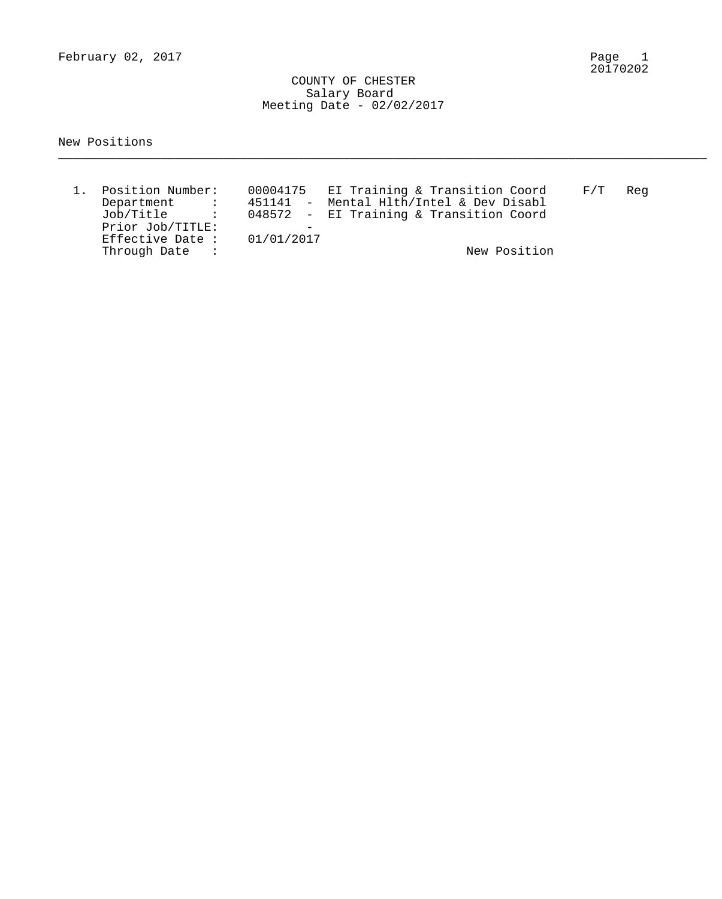February 02, 2017

Page 1<br>20170202

 COUNTY OF CHESTER Salary Board Meeting Date - 02/02/2017

New Positions

| 1. Position Number:                                                                                                                                                                                                                                                                                                                                                                                                                                                       |  | 00004175 EI Training & Transition Coord | $\mathrm{F}\,/\,\mathrm{T}$ | Reg |
|---------------------------------------------------------------------------------------------------------------------------------------------------------------------------------------------------------------------------------------------------------------------------------------------------------------------------------------------------------------------------------------------------------------------------------------------------------------------------|--|-----------------------------------------|-----------------------------|-----|
| Department<br>$\mathcal{L}(\mathcal{L}(\mathcal{L}(\mathcal{L}(\mathcal{L}(\mathcal{L}(\mathcal{L}(\mathcal{L}(\mathcal{L}(\mathcal{L}(\mathcal{L}(\mathcal{L}(\mathcal{L}(\mathcal{L}(\mathcal{L}(\mathcal{L}(\mathcal{L}(\mathcal{L}(\mathcal{L}(\mathcal{L}(\mathcal{L}(\mathcal{L}(\mathcal{L}(\mathcal{L}(\mathcal{L}(\mathcal{L}(\mathcal{L}(\mathcal{L}(\mathcal{L}(\mathcal{L}(\mathcal{L}(\mathcal{L}(\mathcal{L}(\mathcal{L}(\mathcal{L}(\mathcal{L}(\mathcal{$ |  | 451141 - Mental Hlth/Intel & Dev Disabl |                             |     |
| Job/Title :                                                                                                                                                                                                                                                                                                                                                                                                                                                               |  | 048572 - EI Training & Transition Coord |                             |     |
| Prior Job/TITLE:                                                                                                                                                                                                                                                                                                                                                                                                                                                          |  |                                         |                             |     |
| Effective Date: $01/01/2017$                                                                                                                                                                                                                                                                                                                                                                                                                                              |  |                                         |                             |     |
| Through Date :                                                                                                                                                                                                                                                                                                                                                                                                                                                            |  | New Position                            |                             |     |

\_\_\_\_\_\_\_\_\_\_\_\_\_\_\_\_\_\_\_\_\_\_\_\_\_\_\_\_\_\_\_\_\_\_\_\_\_\_\_\_\_\_\_\_\_\_\_\_\_\_\_\_\_\_\_\_\_\_\_\_\_\_\_\_\_\_\_\_\_\_\_\_\_\_\_\_\_\_\_\_\_\_\_\_\_\_\_\_\_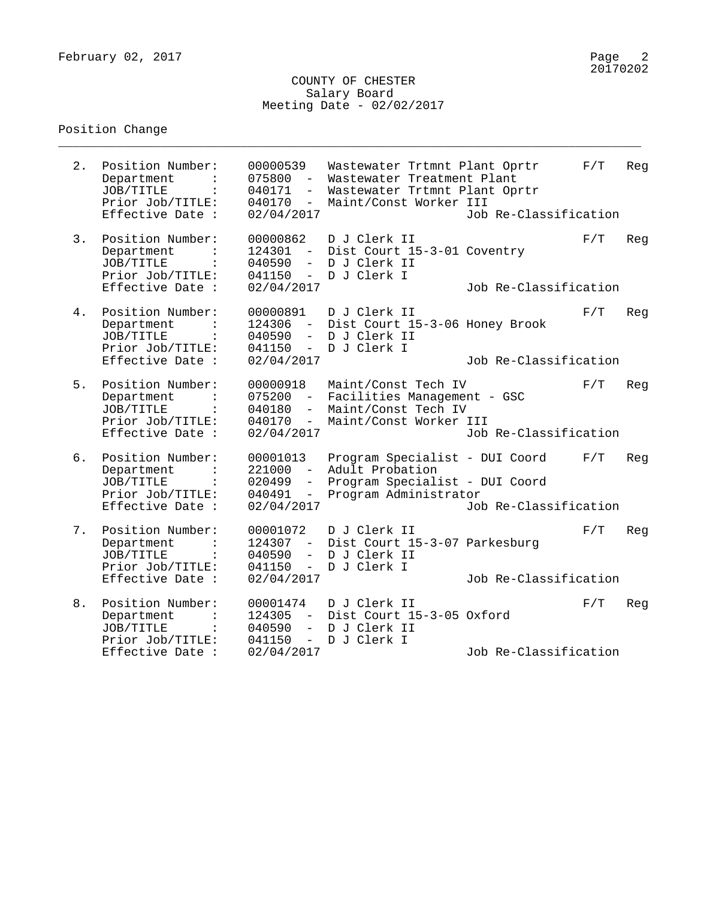#### COUNTY OF CHESTER Salary Board Meeting Date - 02/02/2017

\_\_\_\_\_\_\_\_\_\_\_\_\_\_\_\_\_\_\_\_\_\_\_\_\_\_\_\_\_\_\_\_\_\_\_\_\_\_\_\_\_\_\_\_\_\_\_\_\_\_\_\_\_\_\_\_\_\_\_\_\_\_\_\_\_\_\_\_\_\_\_\_\_\_\_\_\_\_\_\_

#### Position Change

00000539 Wastewater Trtmnt Plant Oprtr F/T Reg 075800 - Wastewater Treatment Plant JOB/TITLE : 040171 - Wastewater Trtmnt Plant Oprtr Prior Job/TITLE: 040170 - Maint/Const Worker III 2. Position Number: 00000539 Wastewater Trtmnt Plant Oprtr F/T<br>
Department : 075800 - Wastewater Treatment Plant<br>
JOB/TITLE : 040171 - Wastewater Trtmnt Plant Oprtr<br>
Prior Job/TITLE: 040170 - Maint/Const Worker III<br>
Effect 3. Position Number: 00000862 D J Clerk II F/T Reg Department : 124301 - Dist Court 15-3-01 Coventry JOB/TITLE : 040590 - D J Clerk II Prior Job/TITLE: 041150 - D J Clerk I Effective Date : 02/04/2017 Job Re-Classification 4. Position Number: 00000891 D J Clerk II F/T Reg Department : 124306 - Dist Court 15-3-06 Honey Brook JOB/TITLE : 040590 - D J Clerk II Prior Job/TITLE: 041150 - D J Clerk I Effective Date : 02/04/2017 Job Re-Classification 5. Position Number: 00000918 Maint/Const Tech IV F/T Reg Department : 075200 - Facilities Management - GSC JOB/TITLE : 040180 - Maint/Const Tech IV Prior Job/TITLE: 040170 - Maint/Const Worker III Effective Date : 02/04/2017 Job Re-Classification 6. Position Number: 00001013 Program Specialist - DUI Coord F/T Reg Department : 221000 - Adult Probation JOB/TITLE : 020499 - Program Specialist - DUI Coord Prior Job/TITLE: 040491 - Program Administrator Effective Date : 02/04/2017 Job Re-Classification 7. Position Number: 00001072 D J Clerk II The Reg Department : 124307 - Dist Court 15-3-07 Parkesburg JOB/TITLE : 040590 - D J Clerk II Prior Job/TITLE: 041150 - D J Clerk I Effective Date : 02/04/2017 Job Re-Classification 8. Position Number: 00001474 D J Clerk II The Reg Department : 124305 - Dist Court 15-3-05 Oxford JOB/TITLE : 040590 - D J Clerk II Prior Job/TITLE: 041150 - D J Clerk I Effective Date : 02/04/2017 Job Re-Classification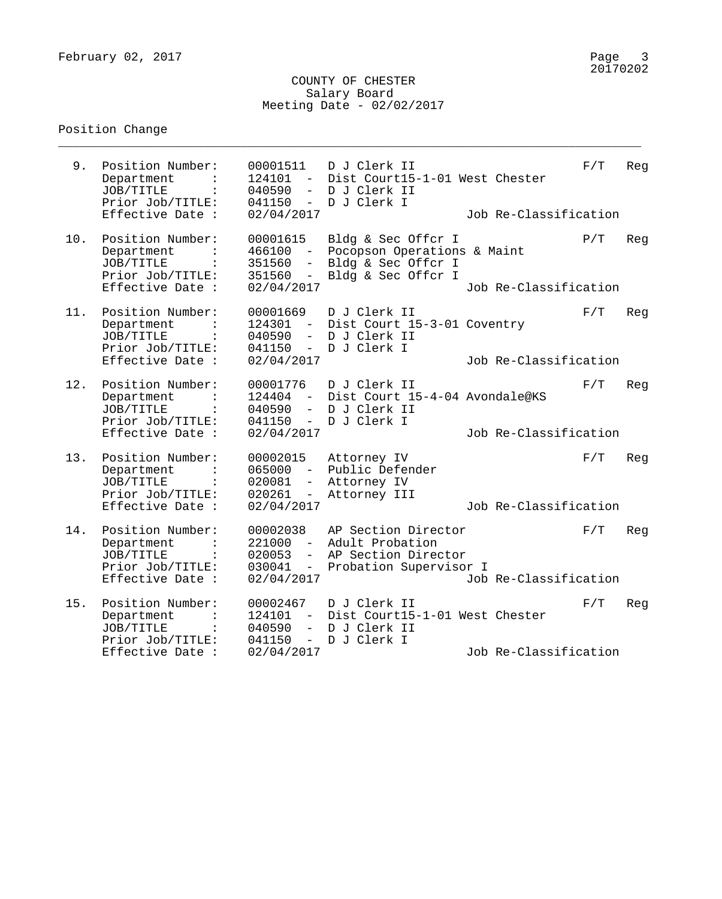### COUNTY OF CHESTER Salary Board Meeting Date - 02/02/2017

\_\_\_\_\_\_\_\_\_\_\_\_\_\_\_\_\_\_\_\_\_\_\_\_\_\_\_\_\_\_\_\_\_\_\_\_\_\_\_\_\_\_\_\_\_\_\_\_\_\_\_\_\_\_\_\_\_\_\_\_\_\_\_\_\_\_\_\_\_\_\_\_\_\_\_\_\_\_\_\_

# Position Change

| 9.  | Position Number:<br>Department<br>JOB/TITLE<br>Prior Job/TITLE:<br>Effective Date :                   | 00001511<br>124101<br>$-$<br>040590<br>$-$<br>041150<br>$ \,$<br>02/04/2017                           | D J Clerk II<br>Dist Court15-1-01 West Chester<br>D J Clerk II<br>D J Clerk I                 | Job Re-Classification | F/T | Reg |
|-----|-------------------------------------------------------------------------------------------------------|-------------------------------------------------------------------------------------------------------|-----------------------------------------------------------------------------------------------|-----------------------|-----|-----|
| 10. | Position Number:<br>Department<br>JOB/TITLE<br>Prior Job/TITLE:<br>Effective Date :                   | 00001615<br>466100<br>$ \,$<br>351560<br>351560<br>$ \,$<br>02/04/2017                                | Bldg & Sec Offcr I<br>Pocopson Operations & Maint<br>Bldg & Sec Offcr I<br>Bldg & Sec Offcr I | Job Re-Classification | P/T | Reg |
| 11. | Position Number:<br>Department<br>JOB/TITLE<br>$\ddot{\cdot}$<br>Prior Job/TITLE:<br>Effective Date : | 00001669<br>124301<br>$\sim$ $-$<br>040590<br>$-$<br>041150<br>$\overline{\phantom{0}}$<br>02/04/2017 | D J Clerk II<br>Dist Court 15-3-01 Coventry<br>D J Clerk II<br>D J Clerk I                    | Job Re-Classification | F/T | Reg |
| 12. | Position Number:<br>Department<br>JOB/TITLE<br>Prior Job/TITLE:<br>Effective Date :                   | 00001776<br>124404<br>$\sim$ $-$<br>040590<br>$\sim$<br>041150<br>$\sim$ $-$<br>02/04/2017            | D J Clerk II<br>Dist Court 15-4-04 Avondale@KS<br>D J Clerk II<br>D J Clerk I                 | Job Re-Classification | F/T | Reg |
| 13. | Position Number:<br>Department<br>JOB/TITLE<br>Prior Job/TITLE:<br>Effective Date :                   | 00002015<br>$\equiv$ .<br>065000<br>020081<br>$-$<br>020261<br>$ \,$<br>02/04/2017                    | Attorney IV<br>Public Defender<br>Attorney IV<br>Attorney III                                 | Job Re-Classification | F/T | Reg |
| 14. | Position Number:<br>Department<br>JOB/TITLE<br>Prior Job/TITLE:<br>Effective Date :                   | 00002038<br>221000<br>$ \,$<br>020053<br>$-$<br>030041<br>$\sim$ $-$<br>02/04/2017                    | AP Section Director<br>Adult Probation<br>AP Section Director<br>Probation Supervisor I       | Job Re-Classification | F/T | Reg |
| 15. | Position Number:<br>Department<br>JOB/TITLE<br>$\ddot{\cdot}$<br>Prior Job/TITLE:<br>Effective Date : | 00002467<br>124101<br>$ \,$<br>040590<br>$ \,$<br>041150<br>$ \,$<br>02/04/2017                       | D J Clerk II<br>Dist Court15-1-01 West Chester<br>D J Clerk II<br>D J Clerk I                 | Job Re-Classification | F/T | Reg |